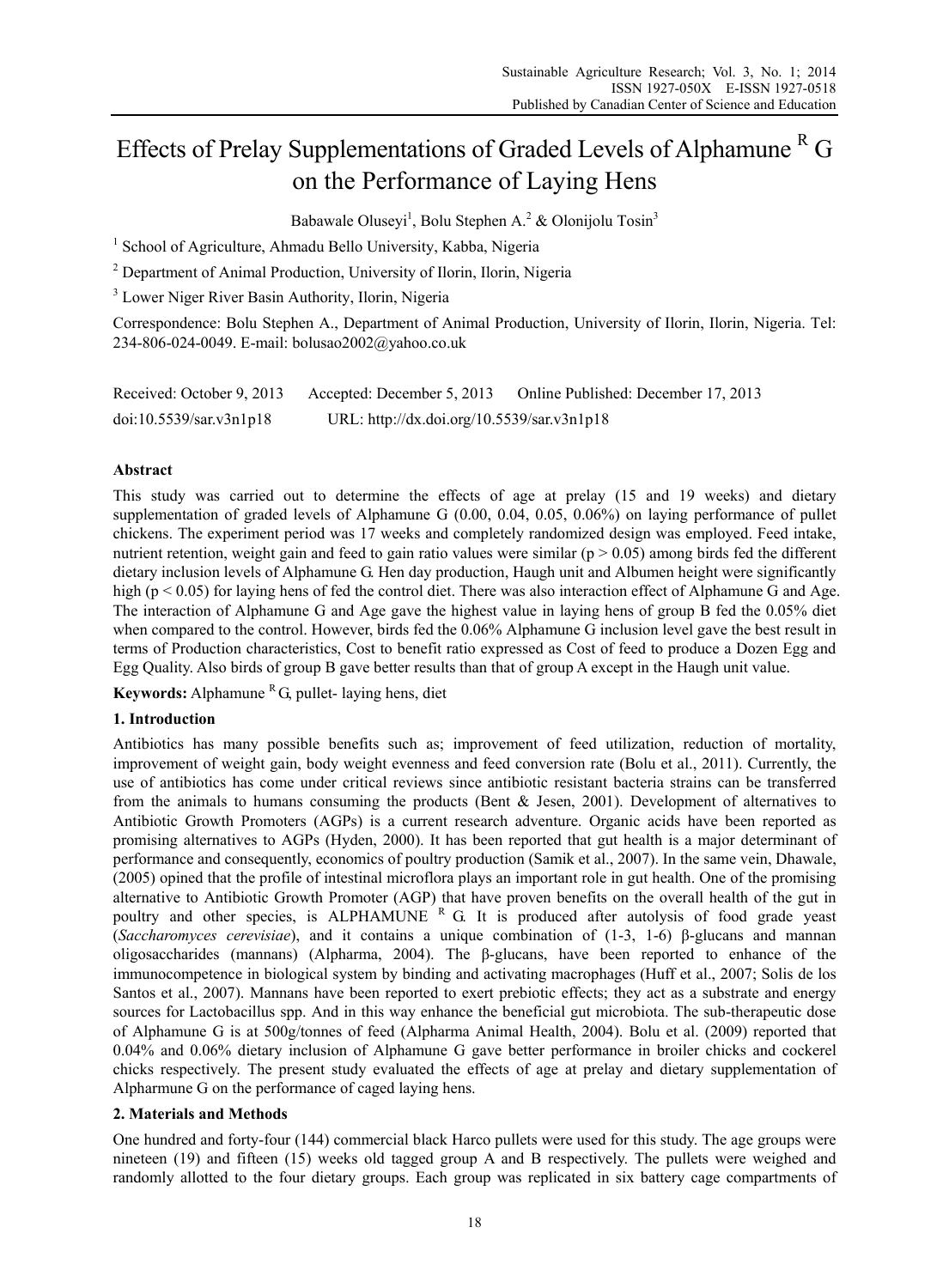# Effects of Prelay Supplementations of Graded Levels of Alphamune<sup>R</sup> G on the Performance of Laying Hens

Babawale Oluseyi<sup>1</sup>, Bolu Stephen A.<sup>2</sup> & Olonijolu Tosin<sup>3</sup>

<sup>1</sup> School of Agriculture, Ahmadu Bello University, Kabba, Nigeria

<sup>2</sup> Department of Animal Production, University of Ilorin, Ilorin, Nigeria

<sup>3</sup> Lower Niger River Basin Authority, Ilorin, Nigeria

Correspondence: Bolu Stephen A., Department of Animal Production, University of Ilorin, Ilorin, Nigeria. Tel: 234-806-024-0049. E-mail: bolusao2002@yahoo.co.uk

| Received: October 9, 2013 | Accepted: December 5, 2013                 | Online Published: December 17, 2013 |
|---------------------------|--------------------------------------------|-------------------------------------|
| doi:10.5539/sar.v3n1p18   | URL: http://dx.doi.org/10.5539/sar.v3n1p18 |                                     |

# **Abstract**

This study was carried out to determine the effects of age at prelay (15 and 19 weeks) and dietary supplementation of graded levels of Alphamune G (0.00, 0.04, 0.05, 0.06%) on laying performance of pullet chickens. The experiment period was 17 weeks and completely randomized design was employed. Feed intake, nutrient retention, weight gain and feed to gain ratio values were similar ( $p > 0.05$ ) among birds fed the different dietary inclusion levels of Alphamune G. Hen day production, Haugh unit and Albumen height were significantly high (p < 0.05) for laying hens of fed the control diet. There was also interaction effect of Alphamune G and Age. The interaction of Alphamune G and Age gave the highest value in laying hens of group B fed the 0.05% diet when compared to the control. However, birds fed the 0.06% Alphamune G inclusion level gave the best result in terms of Production characteristics, Cost to benefit ratio expressed as Cost of feed to produce a Dozen Egg and Egg Quality. Also birds of group B gave better results than that of group A except in the Haugh unit value.

**Keywords:** Alphamune  ${}^{R}G$ , pullet- laying hens, diet

# **1. Introduction**

Antibiotics has many possible benefits such as; improvement of feed utilization, reduction of mortality, improvement of weight gain, body weight evenness and feed conversion rate (Bolu et al., 2011). Currently, the use of antibiotics has come under critical reviews since antibiotic resistant bacteria strains can be transferred from the animals to humans consuming the products (Bent & Jesen, 2001). Development of alternatives to Antibiotic Growth Promoters (AGPs) is a current research adventure. Organic acids have been reported as promising alternatives to AGPs (Hyden, 2000). It has been reported that gut health is a major determinant of performance and consequently, economics of poultry production (Samik et al., 2007). In the same vein, Dhawale, (2005) opined that the profile of intestinal microflora plays an important role in gut health. One of the promising alternative to Antibiotic Growth Promoter (AGP) that have proven benefits on the overall health of the gut in poultry and other species, is ALPHAMUNE R G. It is produced after autolysis of food grade yeast (*Saccharomyces cerevisiae*), and it contains a unique combination of (1-3, 1-6) β-glucans and mannan oligosaccharides (mannans) (Alpharma, 2004). The β-glucans, have been reported to enhance of the immunocompetence in biological system by binding and activating macrophages (Huff et al., 2007; Solis de los Santos et al., 2007). Mannans have been reported to exert prebiotic effects; they act as a substrate and energy sources for Lactobacillus spp. And in this way enhance the beneficial gut microbiota. The sub-therapeutic dose of Alphamune G is at 500g/tonnes of feed (Alpharma Animal Health, 2004). Bolu et al. (2009) reported that 0.04% and 0.06% dietary inclusion of Alphamune G gave better performance in broiler chicks and cockerel chicks respectively. The present study evaluated the effects of age at prelay and dietary supplementation of Alpharmune G on the performance of caged laying hens.

# **2. Materials and Methods**

One hundred and forty-four (144) commercial black Harco pullets were used for this study. The age groups were nineteen (19) and fifteen (15) weeks old tagged group A and B respectively. The pullets were weighed and randomly allotted to the four dietary groups. Each group was replicated in six battery cage compartments of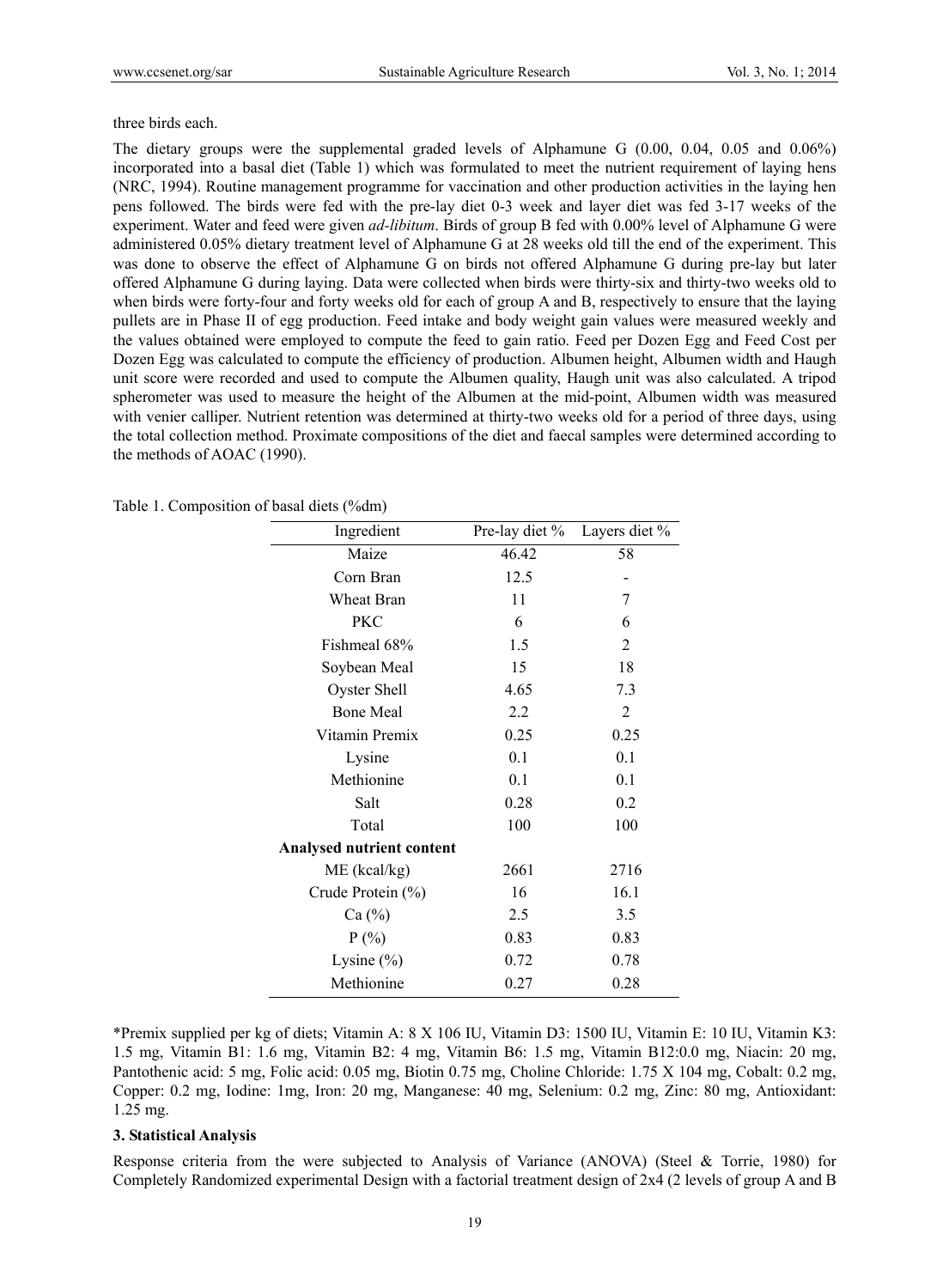three birds each.

The dietary groups were the supplemental graded levels of Alphamune G (0.00, 0.04, 0.05 and 0.06%) incorporated into a basal diet (Table 1) which was formulated to meet the nutrient requirement of laying hens (NRC, 1994). Routine management programme for vaccination and other production activities in the laying hen pens followed. The birds were fed with the pre-lay diet 0-3 week and layer diet was fed 3-17 weeks of the experiment. Water and feed were given *ad-libitum*. Birds of group B fed with 0.00% level of Alphamune G were administered 0.05% dietary treatment level of Alphamune G at 28 weeks old till the end of the experiment. This was done to observe the effect of Alphamune G on birds not offered Alphamune G during pre-lay but later offered Alphamune G during laying. Data were collected when birds were thirty-six and thirty-two weeks old to when birds were forty-four and forty weeks old for each of group A and B, respectively to ensure that the laying pullets are in Phase II of egg production. Feed intake and body weight gain values were measured weekly and the values obtained were employed to compute the feed to gain ratio. Feed per Dozen Egg and Feed Cost per Dozen Egg was calculated to compute the efficiency of production. Albumen height, Albumen width and Haugh unit score were recorded and used to compute the Albumen quality, Haugh unit was also calculated. A tripod spherometer was used to measure the height of the Albumen at the mid-point, Albumen width was measured with venier calliper. Nutrient retention was determined at thirty-two weeks old for a period of three days, using the total collection method. Proximate compositions of the diet and faecal samples were determined according to the methods of AOAC (1990).

|  |  |  | Table 1. Composition of basal diets (%dm) |  |  |
|--|--|--|-------------------------------------------|--|--|
|--|--|--|-------------------------------------------|--|--|

| Ingredient                       | Pre-lay diet % | Layers diet %  |
|----------------------------------|----------------|----------------|
| Maize                            | 46.42          | 58             |
| Corn Bran                        | 12.5           |                |
| Wheat Bran                       | 11             | 7              |
| PKC                              | 6              | 6              |
| Fishmeal 68%                     | 1.5            | 2              |
| Soybean Meal                     | 15             | 18             |
| Oyster Shell                     | 4.65           | 7.3            |
| <b>Bone Meal</b>                 | 2.2            | $\overline{2}$ |
| Vitamin Premix                   | 0.25           | 0.25           |
| Lysine                           | 0.1            | 0.1            |
| Methionine                       | 0.1            | 0.1            |
| Salt                             | 0.28           | 0.2            |
| Total                            | 100            | 100            |
| <b>Analysed nutrient content</b> |                |                |
| $ME$ (kcal/kg)                   | 2661           | 2716           |
| Crude Protein (%)                | 16             | 16.1           |
| Ca $(\%)$                        | 2.5            | 3.5            |
| $P(\% )$                         | 0.83           | 0.83           |
| Lysine $(\% )$                   | 0.72           | 0.78           |
| Methionine                       | 0.27           | 0.28           |

\*Premix supplied per kg of diets; Vitamin A: 8 X 106 IU, Vitamin D3: 1500 IU, Vitamin E: 10 IU, Vitamin K3: 1.5 mg, Vitamin B1: 1.6 mg, Vitamin B2: 4 mg, Vitamin B6: 1.5 mg, Vitamin B12:0.0 mg, Niacin: 20 mg, Pantothenic acid: 5 mg, Folic acid: 0.05 mg, Biotin 0.75 mg, Choline Chloride: 1.75 X 104 mg, Cobalt: 0.2 mg, Copper: 0.2 mg, Iodine: 1mg, Iron: 20 mg, Manganese: 40 mg, Selenium: 0.2 mg, Zinc: 80 mg, Antioxidant: 1.25 mg.

#### **3. Statistical Analysis**

Response criteria from the were subjected to Analysis of Variance (ANOVA) (Steel & Torrie, 1980) for Completely Randomized experimental Design with a factorial treatment design of 2x4 (2 levels of group A and B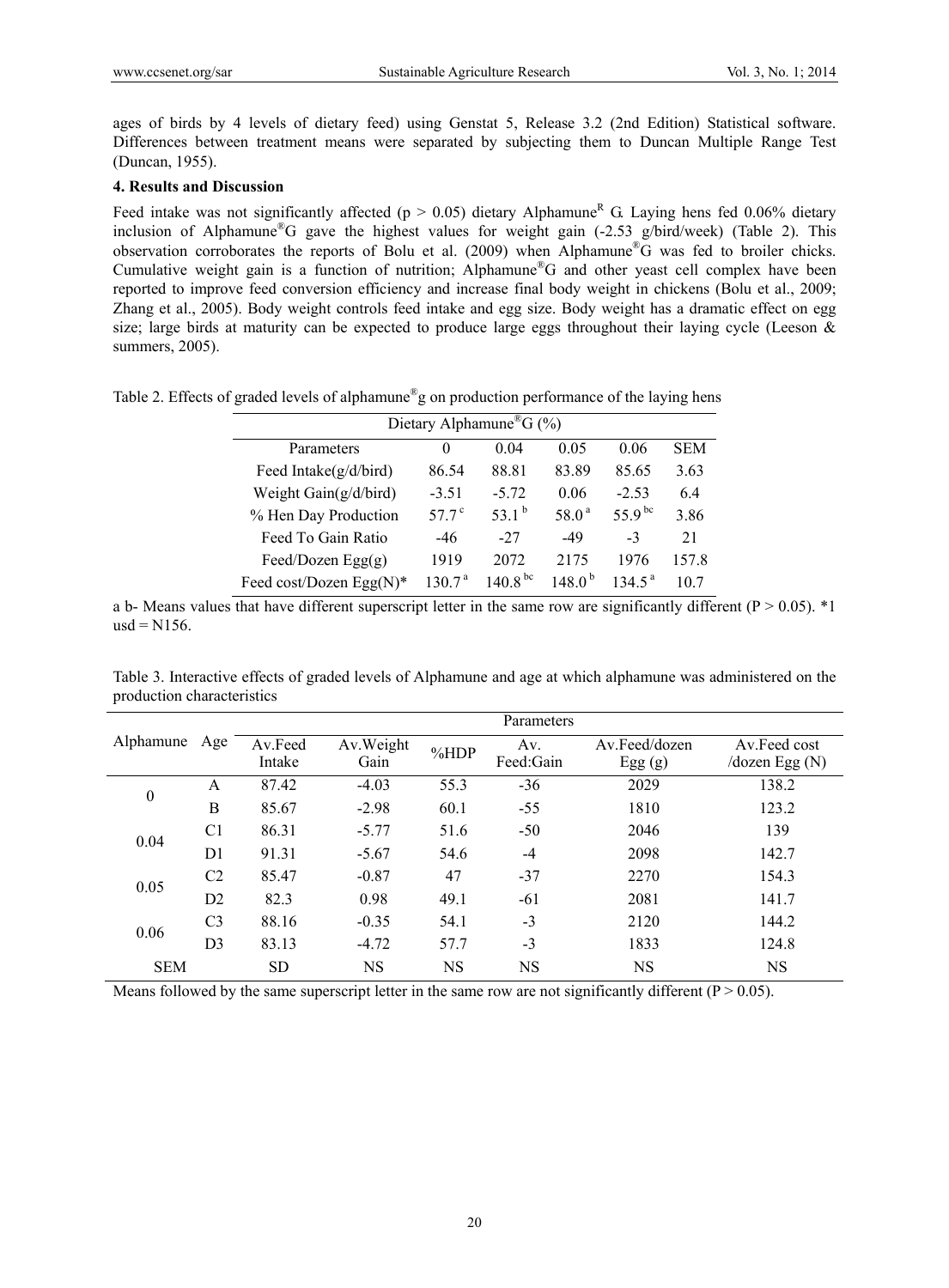ages of birds by 4 levels of dietary feed) using Genstat 5, Release 3.2 (2nd Edition) Statistical software. Differences between treatment means were separated by subjecting them to Duncan Multiple Range Test (Duncan, 1955).

## **4. Results and Discussion**

Feed intake was not significantly affected ( $p > 0.05$ ) dietary Alphamune<sup>R</sup> G. Laying hens fed 0.06% dietary inclusion of Alphamune®G gave the highest values for weight gain (-2.53 g/bird/week) (Table 2). This observation corroborates the reports of Bolu et al. (2009) when Alphamune®G was fed to broiler chicks. Cumulative weight gain is a function of nutrition; Alphamune<sup>®</sup>G and other yeast cell complex have been reported to improve feed conversion efficiency and increase final body weight in chickens (Bolu et al., 2009; Zhang et al., 2005). Body weight controls feed intake and egg size. Body weight has a dramatic effect on egg size; large birds at maturity can be expected to produce large eggs throughout their laying cycle (Leeson  $\&$ summers, 2005).

|  |  |  | Table 2. Effects of graded levels of alphamune <sup>®</sup> g on production performance of the laying hens |  |
|--|--|--|------------------------------------------------------------------------------------------------------------|--|
|  |  |  |                                                                                                            |  |
|  |  |  |                                                                                                            |  |

| Dietary Alphamune <sup>®</sup> G (%) |                   |                   |                    |                    |            |  |  |  |  |
|--------------------------------------|-------------------|-------------------|--------------------|--------------------|------------|--|--|--|--|
| Parameters                           | $\theta$          | 0.04              | 0.05               | 0.06               | <b>SEM</b> |  |  |  |  |
| Feed Intake $(g/d/bird)$             | 86.54             | 88.81             | 83.89              | 85.65              | 3.63       |  |  |  |  |
| Weight Gain(g/d/bird)                | $-3.51$           | $-5.72$           | 0.06               | $-2.53$            | 6.4        |  |  |  |  |
| % Hen Day Production                 | 57.7 $^{\circ}$   | 53.1 <sup>b</sup> | 58.0 <sup>a</sup>  | 55.9 bc            | 3.86       |  |  |  |  |
| Feed To Gain Ratio                   | $-46$             | $-27$             | $-49$              | $-3$               | 21         |  |  |  |  |
| Feed/Dozen Egg $(g)$                 | 1919              | 2072              | 2175               | 1976               | 157.8      |  |  |  |  |
| Feed cost/Dozen Egg(N)*              | 1307 <sup>a</sup> | $140.8^{bc}$      | 148.0 <sup>b</sup> | $134.5^{\text{a}}$ | 10.7       |  |  |  |  |

a b- Means values that have different superscript letter in the same row are significantly different ( $P > 0.05$ ). \*1  $usd = N156$ .

Table 3. Interactive effects of graded levels of Alphamune and age at which alphamune was administered on the production characteristics

|                  | Parameters     |                   |                   |      |                  |                         |                                           |  |  |  |
|------------------|----------------|-------------------|-------------------|------|------------------|-------------------------|-------------------------------------------|--|--|--|
| Alphamune        | Age            | Av.Feed<br>Intake | Av.Weight<br>Gain | %HDP | Av.<br>Feed:Gain | Av.Feed/dozen<br>Egg(g) | Av.Feed cost<br>$\sqrt{d}$ ozen Egg $(N)$ |  |  |  |
|                  |                |                   |                   |      |                  |                         |                                           |  |  |  |
| $\boldsymbol{0}$ | A              | 87.42             | $-4.03$           | 55.3 | $-36$            | 2029                    | 138.2                                     |  |  |  |
|                  | B              | 85.67             | $-2.98$           | 60.1 | $-55$            | 1810                    | 123.2                                     |  |  |  |
| 0.04             | C <sub>1</sub> | 86.31             | $-5.77$           | 51.6 | $-50$            | 2046                    | 139                                       |  |  |  |
|                  | D1             | 91.31             | $-5.67$           | 54.6 | $-4$             | 2098                    | 142.7                                     |  |  |  |
| 0.05             | C <sub>2</sub> | 85.47             | $-0.87$           | 47   | $-37$            | 2270                    | 154.3                                     |  |  |  |
|                  | D2             | 82.3              | 0.98              | 49.1 | $-61$            | 2081                    | 141.7                                     |  |  |  |
| 0.06             | C <sub>3</sub> | 88.16             | $-0.35$           | 54.1 | $-3$             | 2120                    | 144.2                                     |  |  |  |
|                  | D <sub>3</sub> | 83.13             | $-4.72$           | 57.7 | $-3$             | 1833                    | 124.8                                     |  |  |  |
| <b>SEM</b>       |                | SD                | NS                | NS   | NS               | NS                      | NS                                        |  |  |  |

Means followed by the same superscript letter in the same row are not significantly different ( $P > 0.05$ ).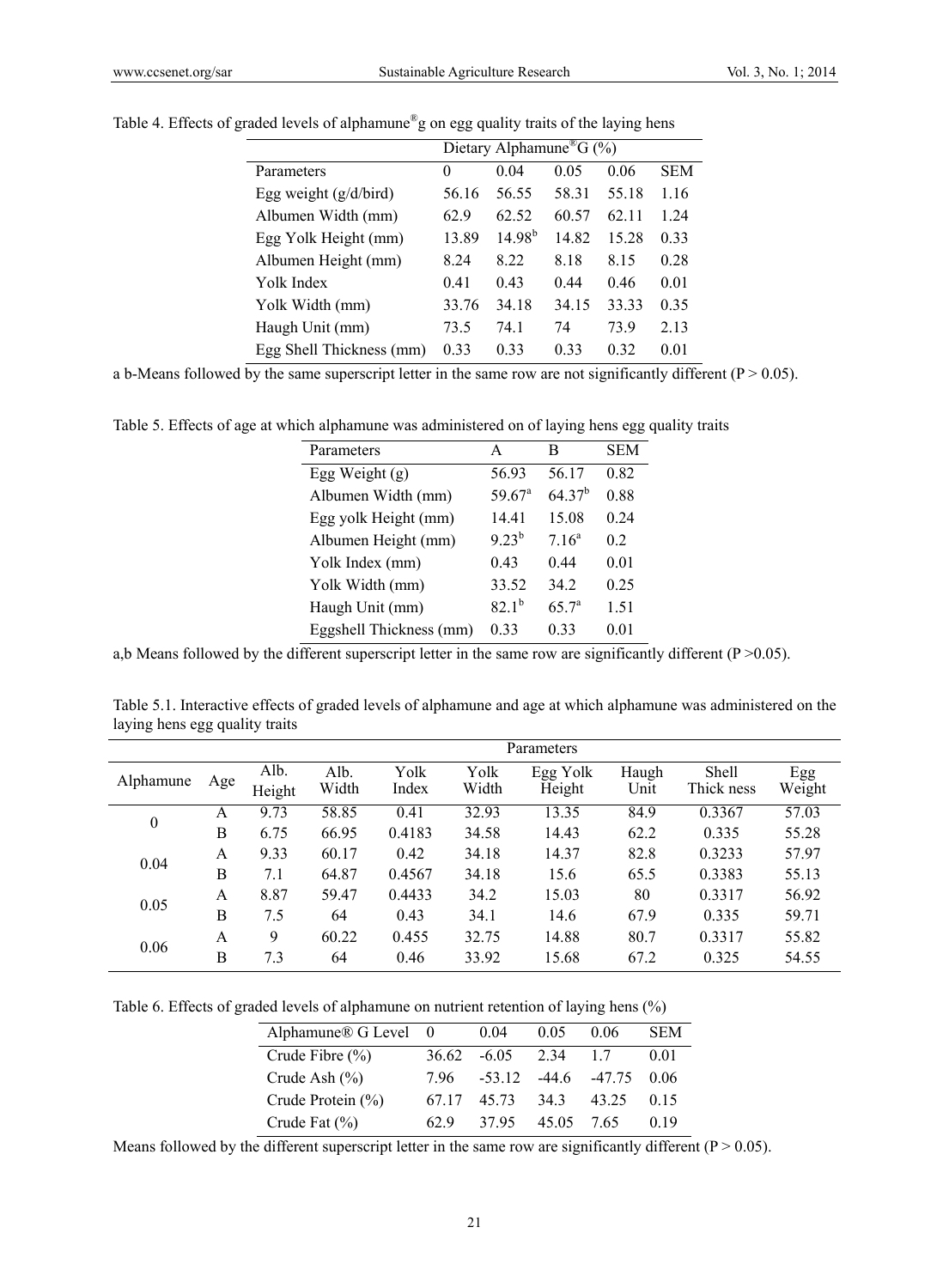|                          | Dietary Alphamune <sup>®</sup> G (%) |             |       |       |            |  |  |  |
|--------------------------|--------------------------------------|-------------|-------|-------|------------|--|--|--|
| Parameters               | 0                                    | 0.04        | 0.05  | 0.06  | <b>SEM</b> |  |  |  |
| Egg weight $(g/d/bird)$  | 56.16                                | 56.55       | 58.31 | 55.18 | 1.16       |  |  |  |
| Albumen Width (mm)       | 62.9                                 | 62.52       | 60.57 | 62 11 | 1.24       |  |  |  |
| Egg Yolk Height (mm)     | 13.89                                | $14.98^{b}$ | 14.82 | 15.28 | 0.33       |  |  |  |
| Albumen Height (mm)      | 8.24                                 | 8.22        | 8.18  | 8.15  | 0.28       |  |  |  |
| Yolk Index               | 0.41                                 | 0.43        | 0.44  | 0.46  | 0.01       |  |  |  |
| Yolk Width (mm)          | 33.76                                | 34.18       | 34.15 | 33.33 | 0.35       |  |  |  |
| Haugh Unit (mm)          | 73.5                                 | 74.1        | 74    | 73.9  | 2.13       |  |  |  |
| Egg Shell Thickness (mm) | 0.33                                 | 0.33        | 0.33  | 0.32  | 0.01       |  |  |  |

Table 4. Effects of graded levels of alphamune®g on egg quality traits of the laying hens

a b-Means followed by the same superscript letter in the same row are not significantly different ( $P > 0.05$ ).

Table 5. Effects of age at which alphamune was administered on of laying hens egg quality traits

| Parameters              | A                    | В                 | SEM  |
|-------------------------|----------------------|-------------------|------|
| Egg Weight $(g)$        | 56.93                | 56.17             | 0.82 |
| Albumen Width (mm)      | $59.67$ <sup>a</sup> | $64.37^{b}$       | 0.88 |
| Egg yolk Height (mm)    | 1441                 | 15.08             | 0.24 |
| Albumen Height (mm)     | $9.23^{b}$           | $7.16^a$          | 0.2  |
| Yolk Index (mm)         | 0.43                 | 0.44              | 0.01 |
| Yolk Width (mm)         | 33.52                | 34 2              | 0.25 |
| Haugh Unit (mm)         | $82.1^{b}$           | 65.7 <sup>a</sup> | 1.51 |
| Eggshell Thickness (mm) | 0.33                 | 0.33              | 0.01 |
|                         |                      |                   |      |

a,b Means followed by the different superscript letter in the same row are significantly different ( $P > 0.05$ ).

Table 5.1. Interactive effects of graded levels of alphamune and age at which alphamune was administered on the laying hens egg quality traits

|                  |     | Parameters     |               |               |               |                    |               |                     |               |  |
|------------------|-----|----------------|---------------|---------------|---------------|--------------------|---------------|---------------------|---------------|--|
| Alphamune        | Age | Alb.<br>Height | Alb.<br>Width | Yolk<br>Index | Yolk<br>Width | Egg Yolk<br>Height | Haugh<br>Unit | Shell<br>Thick ness | Egg<br>Weight |  |
| $\boldsymbol{0}$ | A   | 9.73           | 58.85         | 0.41          | 32.93         | 13.35              | 84.9          | 0.3367              | 57.03         |  |
|                  | B   | 6.75           | 66.95         | 0.4183        | 34.58         | 14.43              | 62.2          | 0.335               | 55.28         |  |
| 0.04             | A   | 9.33           | 60.17         | 0.42          | 34.18         | 14.37              | 82.8          | 0.3233              | 57.97         |  |
|                  | B   | 7.1            | 64.87         | 0.4567        | 34.18         | 15.6               | 65.5          | 0.3383              | 55.13         |  |
| 0.05             | А   | 8.87           | 59.47         | 0.4433        | 34.2          | 15.03              | 80            | 0.3317              | 56.92         |  |
|                  | B   | 7.5            | 64            | 0.43          | 34.1          | 14.6               | 67.9          | 0.335               | 59.71         |  |
| 0.06             | A   | 9              | 60.22         | 0.455         | 32.75         | 14.88              | 80.7          | 0.3317              | 55.82         |  |
|                  | B   | 7.3            | 64            | 0.46          | 33.92         | 15.68              | 67.2          | 0.325               | 54.55         |  |

Table 6. Effects of graded levels of alphamune on nutrient retention of laying hens (%)

| Alphamune® G Level 0 |       | 0.04     | 0.05  | 0.06     | <b>SEM</b> |
|----------------------|-------|----------|-------|----------|------------|
| Crude Fibre $(\% )$  | 36.62 | $-6.05$  | 2 3 4 | 17       | 0.01       |
| Crude Ash $(\% )$    | 796   | $-53.12$ | -44.6 | $-47.75$ | 0.06       |
| Crude Protein (%)    | 67 17 | 45.73    | 343   | 43.25    | 0.15       |
| Crude Fat $(\% )$    | 62.9  | 3795     | 45.05 | 7.65     | 0.19       |

Means followed by the different superscript letter in the same row are significantly different ( $P > 0.05$ ).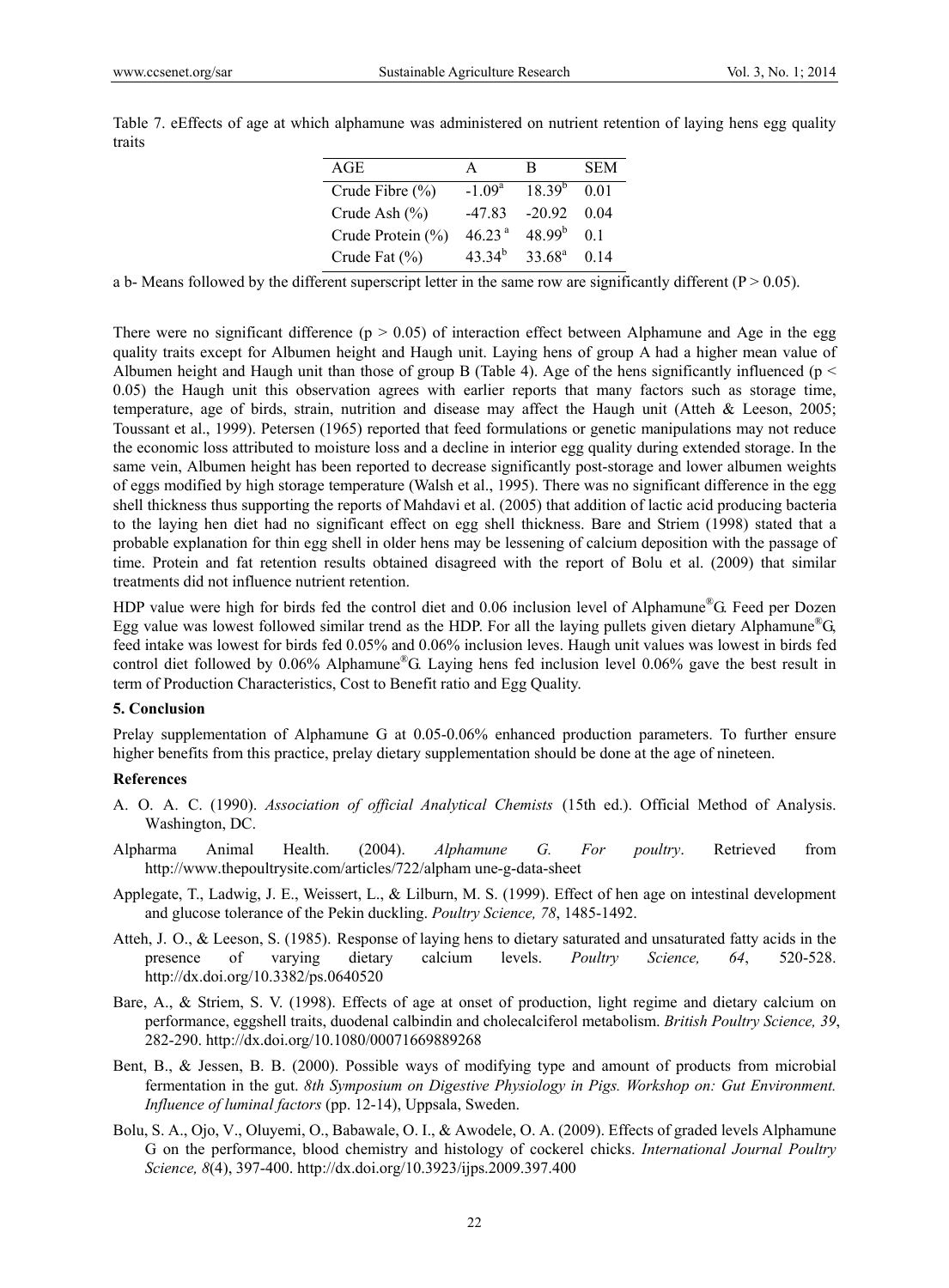| Table 7. eEffects of age at which alphamune was administered on nutrient retention of laying hens egg quality |  |  |  |  |  |  |
|---------------------------------------------------------------------------------------------------------------|--|--|--|--|--|--|
| traits                                                                                                        |  |  |  |  |  |  |

| AGE                 |                    | R               | SEM            |
|---------------------|--------------------|-----------------|----------------|
| Crude Fibre $(\% )$ | $-1.09a$           | $18.39^{b}$     | 0.01           |
| Crude Ash $(\% )$   | $-47.83$           | $-20.92$        | 0.04           |
| Crude Protein (%)   | 46.23 <sup>a</sup> | $48.99^{b}$     | 0 <sub>1</sub> |
| Crude Fat $(\% )$   | $43.34^{b}$        | $33.68^{\rm a}$ | 0.14           |

a b- Means followed by the different superscript letter in the same row are significantly different ( $P > 0.05$ ).

There were no significant difference ( $p > 0.05$ ) of interaction effect between Alphamune and Age in the egg quality traits except for Albumen height and Haugh unit. Laying hens of group A had a higher mean value of Albumen height and Haugh unit than those of group B (Table 4). Age of the hens significantly influenced ( $p \le$ 0.05) the Haugh unit this observation agrees with earlier reports that many factors such as storage time, temperature, age of birds, strain, nutrition and disease may affect the Haugh unit (Atteh & Leeson, 2005; Toussant et al., 1999). Petersen (1965) reported that feed formulations or genetic manipulations may not reduce the economic loss attributed to moisture loss and a decline in interior egg quality during extended storage. In the same vein, Albumen height has been reported to decrease significantly post-storage and lower albumen weights of eggs modified by high storage temperature (Walsh et al., 1995). There was no significant difference in the egg shell thickness thus supporting the reports of Mahdavi et al. (2005) that addition of lactic acid producing bacteria to the laying hen diet had no significant effect on egg shell thickness. Bare and Striem (1998) stated that a probable explanation for thin egg shell in older hens may be lessening of calcium deposition with the passage of time. Protein and fat retention results obtained disagreed with the report of Bolu et al. (2009) that similar treatments did not influence nutrient retention.

HDP value were high for birds fed the control diet and 0.06 inclusion level of Alphamune®G. Feed per Dozen Egg value was lowest followed similar trend as the HDP. For all the laying pullets given dietary Alphamune<sup>®</sup>G, feed intake was lowest for birds fed 0.05% and 0.06% inclusion leves. Haugh unit values was lowest in birds fed control diet followed by 0.06% Alphamune®G. Laying hens fed inclusion level 0.06% gave the best result in term of Production Characteristics, Cost to Benefit ratio and Egg Quality.

#### **5. Conclusion**

Prelay supplementation of Alphamune G at 0.05-0.06% enhanced production parameters. To further ensure higher benefits from this practice, prelay dietary supplementation should be done at the age of nineteen.

### **References**

- A. O. A. C. (1990). *Association of official Analytical Chemists* (15th ed.). Official Method of Analysis. Washington, DC.
- Alpharma Animal Health. (2004). *Alphamune G. For poultry*. Retrieved from http://www.thepoultrysite.com/articles/722/alpham une-g-data-sheet
- Applegate, T., Ladwig, J. E., Weissert, L., & Lilburn, M. S. (1999). Effect of hen age on intestinal development and glucose tolerance of the Pekin duckling. *Poultry Science, 78*, 1485-1492.
- Atteh, J. O., & Leeson, S. (1985). Response of laying hens to dietary saturated and unsaturated fatty acids in the presence of varying dietary calcium levels. *Poultry Science, 64*, 520-528. http://dx.doi.org/10.3382/ps.0640520
- Bare, A., & Striem, S. V. (1998). Effects of age at onset of production, light regime and dietary calcium on performance, eggshell traits, duodenal calbindin and cholecalciferol metabolism. *British Poultry Science, 39*, 282-290. http://dx.doi.org/10.1080/00071669889268
- Bent, B., & Jessen, B. B. (2000). Possible ways of modifying type and amount of products from microbial fermentation in the gut. *8th Symposium on Digestive Physiology in Pigs. Workshop on: Gut Environment. Influence of luminal factors* (pp. 12-14), Uppsala, Sweden.
- Bolu, S. A., Ojo, V., Oluyemi, O., Babawale, O. I., & Awodele, O. A. (2009). Effects of graded levels Alphamune G on the performance, blood chemistry and histology of cockerel chicks. *International Journal Poultry Science, 8*(4), 397-400. http://dx.doi.org/10.3923/ijps.2009.397.400